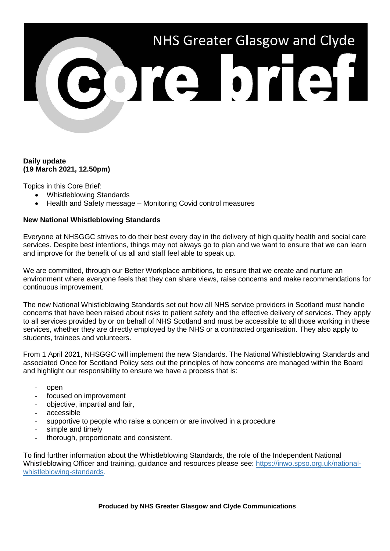# NHS Greater Glasgow and Clyde **BOTAL DTGH**

### **Daily update (19 March 2021, 12.50pm)**

Topics in this Core Brief:

- Whistleblowing Standards
- Health and Safety message Monitoring Covid control measures

# **New National Whistleblowing Standards**

Everyone at NHSGGC strives to do their best every day in the delivery of high quality health and social care services. Despite best intentions, things may not always go to plan and we want to ensure that we can learn and improve for the benefit of us all and staff feel able to speak up.

We are committed, through our Better Workplace ambitions, to ensure that we create and nurture an environment where everyone feels that they can share views, raise concerns and make recommendations for continuous improvement.

The new National Whistleblowing Standards set out how all NHS service providers in Scotland must handle concerns that have been raised about risks to patient safety and the effective delivery of services. They apply to all services provided by or on behalf of NHS Scotland and must be accessible to all those working in these services, whether they are directly employed by the NHS or a contracted organisation. They also apply to students, trainees and volunteers.

From 1 April 2021, NHSGGC will implement the new Standards. The National Whistleblowing Standards and associated Once for Scotland Policy sets out the principles of how concerns are managed within the Board and highlight our responsibility to ensure we have a process that is:

- open
- focused on improvement
- objective, impartial and fair,
- accessible
- supportive to people who raise a concern or are involved in a procedure
- simple and timely
- thorough, proportionate and consistent.

To find further information about the Whistleblowing Standards, the role of the Independent National Whistleblowing Officer and training, guidance and resources please see: [https://inwo.spso.org.uk/national](https://inwo.spso.org.uk/national-whistleblowing-standards)[whistleblowing-standards.](https://inwo.spso.org.uk/national-whistleblowing-standards)